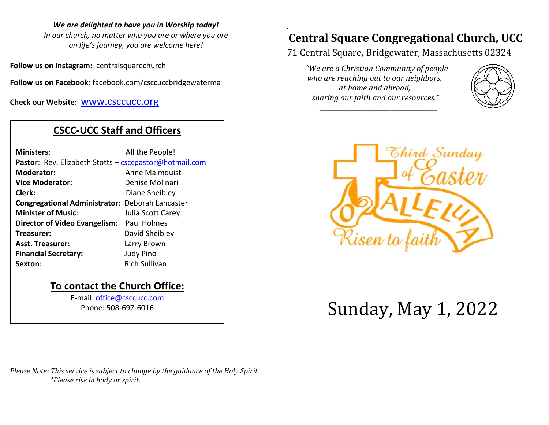#### *We are delighted to have you in Worship today!*

*In our church, no matter who you are or where you are on life's journey, you are welcome here!*

**Follow us on Instagram:** centralsquarechurch

**Follow us on Facebook:** facebook.com/csccuccbridgewaterma

**Check our Website:** [www.csccucc.org](about:blank)

# **CSCC-UCC Staff and Officers**

| <b>Ministers:</b>                                      | All the People!      |
|--------------------------------------------------------|----------------------|
| Pastor: Rev. Elizabeth Stotts - csccpastor@hotmail.com |                      |
| <b>Moderator:</b>                                      | Anne Malmquist       |
| <b>Vice Moderator:</b>                                 | Denise Molinari      |
| Clerk:                                                 | Diane Sheibley       |
| <b>Congregational Administrator: Deborah Lancaster</b> |                      |
| <b>Minister of Music:</b>                              | Julia Scott Carey    |
| Director of Video Evangelism: Paul Holmes              |                      |
| Treasurer:                                             | David Sheibley       |
| <b>Asst. Treasurer:</b>                                | Larry Brown          |
| <b>Financial Secretary:</b>                            | <b>Judy Pino</b>     |
| Sexton:                                                | <b>Rich Sullivan</b> |
|                                                        |                      |

## **To contact the Church Office:**

E-mail: [office@csccucc.com](mailto:office@csccucc.com) Phone: 508-697-6016

*Please Note: This service is subject to change by the guidance of the Holy Spirit \*Please rise in body or spirit.*

### *.* **Central Square Congregational Church, UCC**

71 Central Square, Bridgewater, Massachusetts 02324

*"We are a Christian Community of people who are reaching out to our neighbors, at home and abroad, sharing our faith and our resources."*

*\_\_\_\_\_\_\_\_\_\_\_\_\_\_\_\_\_\_\_\_\_\_\_\_\_\_\_\_\_\_\_\_\_\_\_\_\_\_*





# Sunday, May 1, 2022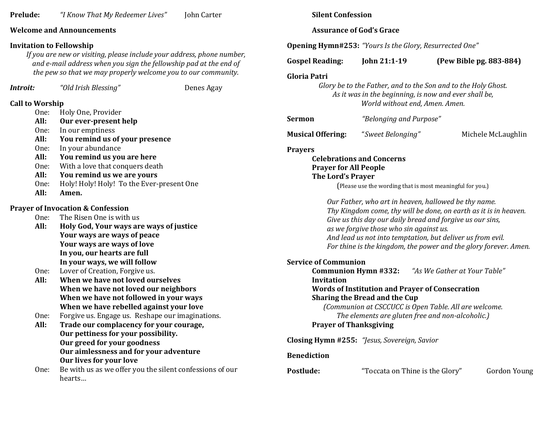#### **Prelude:** *"I Know That My Redeemer Lives"* John Carter

#### **Welcome and Announcements**

#### **Invitation to Fellowship**

*If you are new or visiting, please include your address, phone number, and e-mail address when you sign the fellowship pad at the end of the pew so that we may properly welcome you to our community.*

*Introit: "Old Irish Blessing"* Denes Agay

#### **Call to Worship**

One: Holy One, Provider **All: Our ever-present help** One: In our emptiness **All: You remind us of your presence**

- One: In your abundance
- **All: You remind us you are here**
- One: With a love that conquers death
- **All: You remind us we are yours**
- One: Holy! Holy! Holy! To the Ever-present One
- **All: Amen.**

#### **Prayer of Invocation & Confession**

One: The Risen One is with us

- **All: Holy God, Your ways are ways of justice Your ways are ways of peace Your ways are ways of love In you, our hearts are full In your ways, we will follow**
- One: Lover of Creation, Forgive us.
- **All: When we have not loved ourselves When we have not loved our neighbors When we have not followed in your ways When we have rebelled against your love**
- One: Forgive us. Engage us. Reshape our imaginations.
- **All: Trade our complacency for your courage, Our pettiness for your possibility. Our greed for your goodness Our aimlessness and for your adventure Our lives for your love**
- One: Be with us as we offer you the silent confessions of our hearts…

#### **Silent Confession**

**Assurance of God's Grace**

**Opening Hymn#253:** *"Yours Is the Glory, Resurrected One"*

**Gospel Reading: John 21:1-19 (Pew Bible pg. 883-884)**

#### **Gloria Patri**

*Glory be to the Father, and to the Son and to the Holy Ghost. As it was in the beginning, is now and ever shall be, World without end, Amen. Amen.*

| Sermon                   | "Belonging and Purpose" |                    |
|--------------------------|-------------------------|--------------------|
| <b>Musical Offering:</b> | "Sweet Belonging"       | Michele McLaughlin |

#### **Prayers**

#### **Celebrations and Concerns Prayer for All People The Lord's Prayer**

(Please use the wording that is most meaningful for you.)

*Our Father, who art in heaven, hallowed be thy name. Thy Kingdom come, thy will be done, on earth as it is in heaven. Give us this day our daily bread and forgive us our sins, as we forgive those who sin against us. And lead us not into temptation, but deliver us from evil. For thine is the kingdom, the power and the glory forever. Amen.*

#### **Service of Communion**

**Communion Hymn #332:** *"As We Gather at Your Table"* **Invitation Words of Institution and Prayer of Consecration Sharing the Bread and the Cup** *(Communion at CSCCUCC is Open Table. All are welcome. The elements are gluten free and non-alcoholic.)* **Prayer of Thanksgiving Closing Hymn #255:** *"Jesus, Sovereign, Savior*

**Benediction**

**Postlude:** "Toccata on Thine is the Glory" Gordon Young